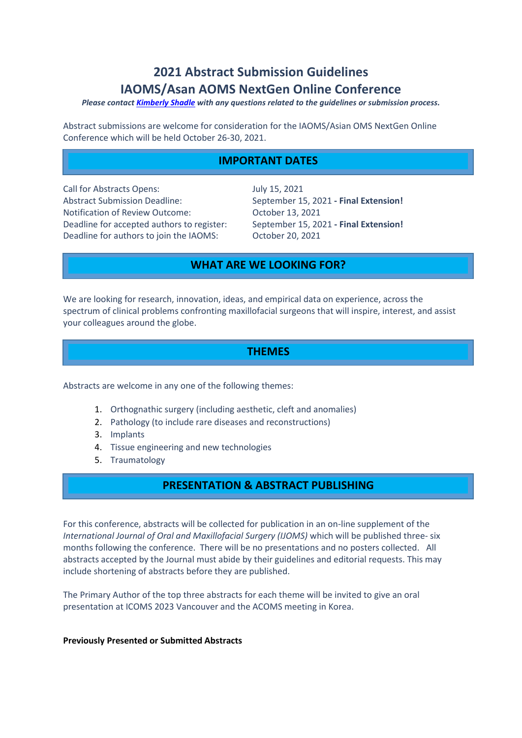# **2021 Abstract Submission Guidelines IAOMS/Asan AOMS NextGen Online Conference**

#### *Please contact [Kimberly](mailto:kshadle@iaoms.org) Shadle with any questions related to the guidelines or submission process.*

Abstract submissions are welcome for consideration for the IAOMS/Asian OMS NextGen Online Conference which will be held October 26-30, 2021.

### **IMPORTANT DATES**

Call for Abstracts Opens: July 15, 2021 Abstract Submission Deadline: September 15, 2021 **- Final Extension!** Notification of Review Outcome: October 13, 2021 Deadline for accepted authors to register: September 15, 2021 **- Final Extension!** Deadline for authors to join the IAOMS: October 20, 2021

### **WHAT ARE WE LOOKING FOR?**

We are looking for research, innovation, ideas, and empirical data on experience, across the spectrum of clinical problems confronting maxillofacial surgeons that will inspire, interest, and assist your colleagues around the globe.

### **THEMES**

Abstracts are welcome in any one of the following themes:

- 1. Orthognathic surgery (including aesthetic, cleft and anomalies)
- 2. Pathology (to include rare diseases and reconstructions)
- 3. Implants
- 4. Tissue engineering and new technologies
- 5. Traumatology

### **PRESENTATION & ABSTRACT PUBLISHING**

For this conference, abstracts will be collected for publication in an on-line supplement of the *International Journal of Oral and Maxillofacial Surgery (IJOMS)* which will be published three- six months following the conference. There will be no presentations and no posters collected. All abstracts accepted by the Journal must abide by their guidelines and editorial requests. This may include shortening of abstracts before they are published.

The Primary Author of the top three abstracts for each theme will be invited to give an oral presentation at ICOMS 2023 Vancouver and the ACOMS meeting in Korea.

#### **Previously Presented or Submitted Abstracts**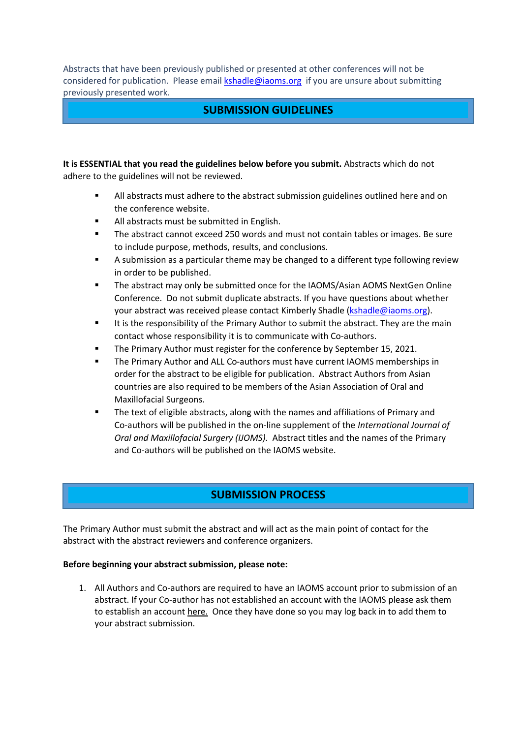Abstracts that have been previously published or presented at other conferences will not be considered for publication. Please email **[kshadle@iaoms.org](mailto:kshadle@iaoms.org)** if you are unsure about submitting previously presented work.

### **SUBMISSION GUIDELINES**

**It is ESSENTIAL that you read the guidelines below before you submit.** Abstracts which do not adhere to the guidelines will not be reviewed.

- All abstracts must adhere to the abstract submission guidelines outlined here and on the conference website.
- All abstracts must be submitted in English.
- The abstract cannot exceed 250 words and must not contain tables or images. Be sure to include purpose, methods, results, and conclusions.
- A submission as a particular theme may be changed to a different type following review in order to be published.
- The abstract may only be submitted once for the IAOMS/Asian AOMS NextGen Online Conference. Do not submit duplicate abstracts. If you have questions about whether your abstract was received please contact Kimberly Shadle [\(kshadle@iaoms.org\).](mailto:kshadle@iaoms.org)
- It is the responsibility of the Primary Author to submit the abstract. They are the main contact whose responsibility it is to communicate with Co-authors.
- The Primary Author must register for the conference by September 15, 2021.
- The Primary Author and ALL Co-authors must have current IAOMS memberships in order for the abstract to be eligible for publication. Abstract Authors from Asian countries are also required to be members of the Asian Association of Oral and Maxillofacial Surgeons.
- The text of eligible abstracts, along with the names and affiliations of Primary and Co-authors will be published in the on-line supplement of the *International Journal of Oral and Maxillofacial Surgery (IJOMS).* Abstract titles and the names of the Primary and Co-authors will be published on the IAOMS website.

# **SUBMISSION PROCESS**

The Primary Author must submit the abstract and will act as the main point of contact for the abstract with the abstract reviewers and conference organizers.

#### **Before beginning your abstract submission, please note:**

1. All Authors and Co-authors are required to have an IAOMS account prior to submission of an abstract. If your Co-author has not established an account with the IAOMS please ask them to establish an account [here.](https://www.iaoms.org/join/) Once they have done so you may log back in to add them to your abstract submission.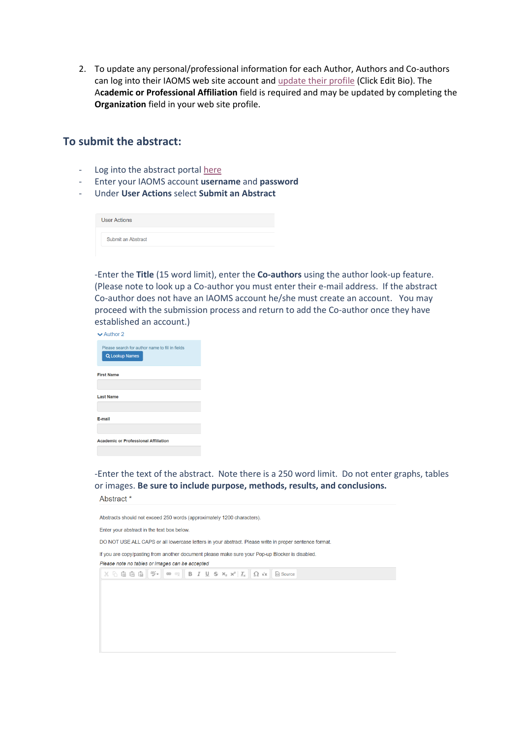2. To update any personal/professional information for each Author, Authors and Co-authors can log into their IAOMS web site account and update [their profile](https://iaoms.site-ym.com/members/manage_profile.asp) (Click Edit Bio). The A**cademic or Professional Affiliation** field is required and may be updated by completing the **Organization** field in your web site profile.

### **To submit the abstract:**

- Log into the abstract portal [here](https://abstracts.iaoms.org/abstracts/index.cfm)
- Enter your IAOMS account **username** and **password**
- Under **User Actions** select **Submit an Abstract**

| <b>User Actions</b> |  |  |
|---------------------|--|--|
| Submit an Abstract  |  |  |

-Enter the **Title** (15 word limit), enter the **Co-authors** using the author look-up feature. (Please note to look up a Co-author you must enter their e-mail address. If the abstract Co-author does not have an IAOMS account he/she must create an account. You may proceed with the submission process and return to add the Co-author once they have established an account.)

| $\vee$ Author 2   |                                                                   |
|-------------------|-------------------------------------------------------------------|
|                   | Please search for author name to fill in fields<br>Q Lookup Names |
| <b>First Name</b> |                                                                   |
| <b>Last Name</b>  |                                                                   |
| E-mail            |                                                                   |
|                   | <b>Academic or Professional Affiliation</b>                       |

-Enter the text of the abstract. Note there is a 250 word limit. Do not enter graphs, tables or images. **Be sure to include purpose, methods, results, and conclusions.**

Abstract \*

Abstracts should not exceed 250 words (approximately 1200 characters). Enter your abstract in the text box below. DO NOT USE ALL CAPS or all lowercase letters in your abstract. Please write in proper sentence format. If you are copy/pasting from another document please make sure your Pop-up Blocker is disabled. Please note no tables or images can be accepted  $\mathbb{X} \oplus \text{ in } \mathbb{R} \oplus \mathbb{R}$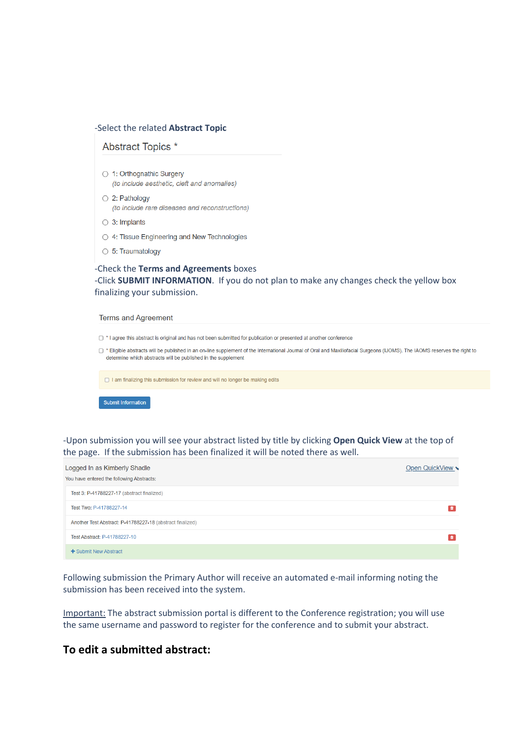#### -Select the related **Abstract Topic**

#### Abstract Topics \*

- 1: Orthognathic Surgery (to include aesthetic, cleft and anomalies)
- 2: Pathology (to include rare diseases and reconstructions)
- $\circ$  3: Implants
- 4: Tissue Engineering and New Technologies
- $\circ$  5: Traumatology

### -Check the **Terms and Agreements** boxes -Click **SUBMIT INFORMATION**. If you do not plan to make any changes check the yellow box finalizing your submission.

#### **Terms and Agreement**

□ \* I agree this abstract is original and has not been submitted for publication or presented at another conference

□ \* Eligible abstracts will be published in an on-line supplement of the International Journal of Oral and Maxillofacial Surgeons (IJOMS). The IAOMS reserves the right to determine which abstracts will be published in the supplement

□ I am finalizing this submission for review and will no longer be making edits

#### Submit Information

-Upon submission you will see your abstract listed by title by clicking **Open Quick View** at the top of the page. If the submission has been finalized it will be noted there as well.

| Logged In as Kimberly Shadle<br>You have entered the following Abstracts: | Open QuickView v |
|---------------------------------------------------------------------------|------------------|
| Test 3: P-41788227-17 (abstract finalized)                                |                  |
| Test Two: P-41788227-14                                                   |                  |
| Another Test Abstract: P-41788227-18 (abstract finalized)                 |                  |
| Test Abstract: P-41788227-10                                              |                  |
| $\div$ Submit New Abstract                                                |                  |

Following submission the Primary Author will receive an automated e-mail informing noting the submission has been received into the system.

Important: The abstract submission portal is different to the Conference registration; you will use the same username and password to register for the conference and to submit your abstract.

### **To edit a submitted abstract:**